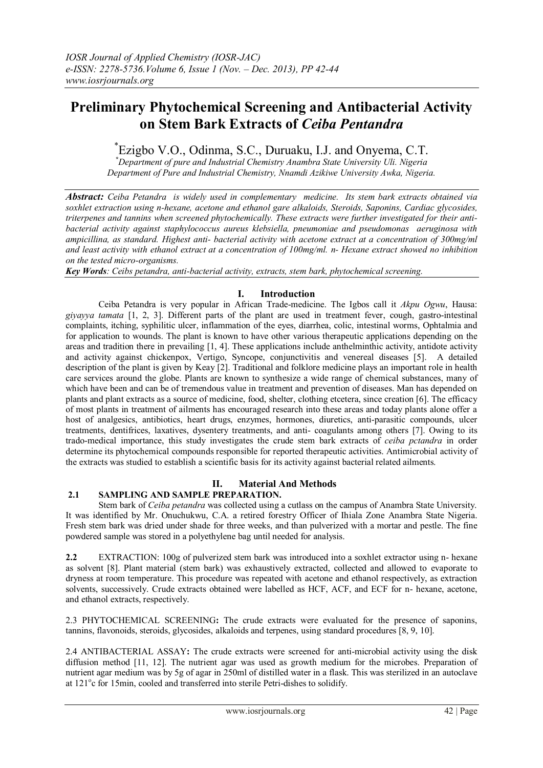# **Preliminary Phytochemical Screening and Antibacterial Activity on Stem Bark Extracts of** *Ceiba Pentandra*

# \* Ezigbo V.O., Odinma, S.C., Duruaku, I.J. and Onyema, C.T.

*\*Department of pure and Industrial Chemistry Anambra State University Uli. Nigeria Department of Pure and Industrial Chemistry, Nnamdi Azikiwe University Awka, Nigeria.*

*Abstract: Ceiba Petandra is widely used in complementary medicine. Its stem bark extracts obtained via soxhlet extraction using n-hexane, acetone and ethanol gare alkaloids, Steroids, Saponins, Cardiac glycosides, triterpenes and tannins when screened phytochemically. These extracts were further investigated for their antibacterial activity against staphylococcus aureus klebsiella, pneumoniae and pseudomonas aeruginosa with ampicillina, as standard. Highest anti- bacterial activity with acetone extract at a concentration of 300mg/ml and least activity with ethanol extract at a concentration of 100mg/ml. n- Hexane extract showed no inhibition on the tested micro-organisms.*

*Key Words: Ceibs petandra, anti-bacterial activity, extracts, stem bark, phytochemical screening.*

## **I. Introduction**

Ceiba Petandra is very popular in African Trade-medicine. The Igbos call it *Akpu Ogwu*, Hausa: *giyayya tamata* [1, 2, 3]. Different parts of the plant are used in treatment fever, cough, gastro-intestinal complaints, itching, syphilitic ulcer, inflammation of the eyes, diarrhea, colic, intestinal worms, Ophtalmia and for application to wounds. The plant is known to have other various therapeutic applications depending on the areas and tradition there in prevailing [1, 4]. These applications include anthelminthic activity, antidote activity and activity against chickenpox, Vertigo, Syncope, conjunctivitis and venereal diseases [5]. A detailed description of the plant is given by Keay [2]. Traditional and folklore medicine plays an important role in health care services around the globe. Plants are known to synthesize a wide range of chemical substances, many of which have been and can be of tremendous value in treatment and prevention of diseases. Man has depended on plants and plant extracts as a source of medicine, food, shelter, clothing etcetera, since creation [6]. The efficacy of most plants in treatment of ailments has encouraged research into these areas and today plants alone offer a host of analgesics, antibiotics, heart drugs, enzymes, hormones, diuretics, anti-parasitic compounds, ulcer treatments, dentifrices, laxatives, dysentery treatments, and anti- coagulants among others [7]. Owing to its trado-medical importance, this study investigates the crude stem bark extracts of *ceiba pctandra* in order determine its phytochemical compounds responsible for reported therapeutic activities. Antimicrobial activity of the extracts was studied to establish a scientific basis for its activity against bacterial related ailments.

## **II. Material And Methods**

## **2.1 SAMPLING AND SAMPLE PREPARATION.**

Stem bark of *Ceiba petandra* was collected using a cutlass on the campus of Anambra State University. It was identified by Mr. Onuchukwu, C.A. a retired forestry Officer of Ihiala Zone Anambra State Nigeria. Fresh stem bark was dried under shade for three weeks, and than pulverized with a mortar and pestle. The fine powdered sample was stored in a polyethylene bag until needed for analysis.

**2.2** EXTRACTION: 100g of pulverized stem bark was introduced into a soxhlet extractor using n- hexane as solvent [8]. Plant material (stem bark) was exhaustively extracted, collected and allowed to evaporate to dryness at room temperature. This procedure was repeated with acetone and ethanol respectively, as extraction solvents, successively. Crude extracts obtained were labelled as HCF, ACF, and ECF for n- hexane, acetone, and ethanol extracts, respectively.

2.3 PHYTOCHEMICAL SCREENING**:** The crude extracts were evaluated for the presence of saponins, tannins, flavonoids, steroids, glycosides, alkaloids and terpenes, using standard procedures [8, 9, 10].

2.4 ANTIBACTERIAL ASSAY**:** The crude extracts were screened for anti-microbial activity using the disk diffusion method [11, 12]. The nutrient agar was used as growth medium for the microbes. Preparation of nutrient agar medium was by 5g of agar in 250ml of distilled water in a flask. This was sterilized in an autoclave at 121°c for 15min, cooled and transferred into sterile Petri-dishes to solidify.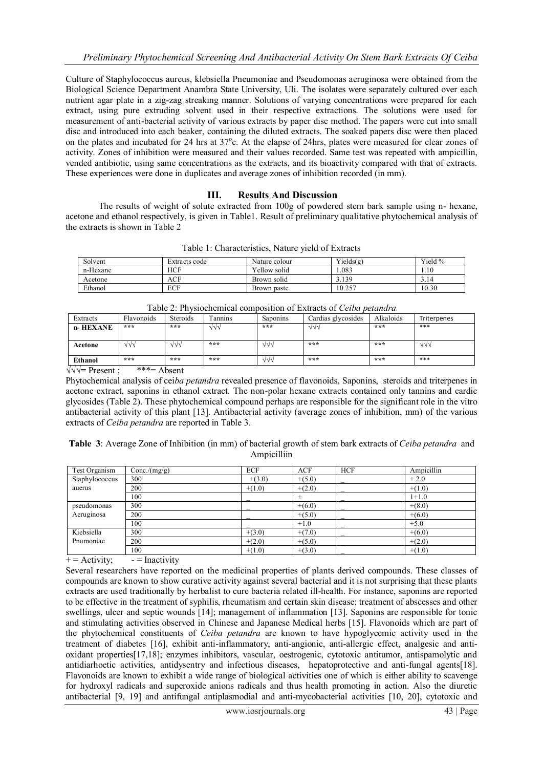Culture of Staphylococcus aureus, klebsiella Pneumoniae and Pseudomonas aeruginosa were obtained from the Biological Science Department Anambra State University. Uli. The isolates were separately cultured over each nutrient agar plate in a zig-zag streaking manner. Solutions of varying concentrations were prepared for each extract, using pure extruding solvent used in their respective extractions. The solutions were used for measurement of anti-bacterial activity of various extracts by paper disc method. The papers were cut into small disc and introduced into each beaker, containing the diluted extracts. The soaked papers disc were then placed on the plates and incubated for 24 hrs at  $37^{\circ}$ c. At the elapse of 24 hrs, plates were measured for clear zones of activity. Zones of inhibition were measured and their values recorded. Same test was repeated with ampicillin, vended antibiotic, using same concentrations as the extracts, and its bioactivity compared with that of extracts. These experiences were done in duplicates and average zones of inhibition recorded (in mm).

#### III. **Results And Discussion**

The results of weight of solute extracted from 100g of powdered stem bark sample using n- hexane. acetone and ethanol respectively, is given in Table1. Result of preliminary qualitative phytochemical analysis of the extracts is shown in Table 2

| Solvent  | Extracts code | Nature colour | Yields(g) | Yield % |
|----------|---------------|---------------|-----------|---------|
| n-Hexane | HCF           | Yellow solid  | .083      | 1.10    |
| Acetone  | ACF           | Brown solid   | 3.139     | 3.14    |
| Ethanol  | ECF           | Brown paste   | 10.257    | 10.30   |

| Table 2: Physiochemical composition of Extracts of Ceiba petandra          |            |                 |         |                 |                    |           |             |  |
|----------------------------------------------------------------------------|------------|-----------------|---------|-----------------|--------------------|-----------|-------------|--|
| Extracts                                                                   | Flavonoids | <b>Steroids</b> | Tannins | <b>Saponins</b> | Cardias glycosides | Alkaloids | Triterpenes |  |
| n- HEXANE                                                                  | ***        | ***             | VVV     | ***             | างง                | ***       | ***         |  |
|                                                                            |            |                 |         |                 |                    |           |             |  |
| Acetone                                                                    | VVV        | VVV             | ***     | VVV             | ***                | ***       | VVV         |  |
|                                                                            |            |                 |         |                 |                    |           |             |  |
| Ethanol                                                                    | ***        | ***             | ***     | $\sqrt{v}$      | ***                | ***       | ***         |  |
| $\sim$ $\sim$ $\sim$ $\sim$ $\sim$ $\sim$ $\sim$ $\sim$<br>$1.1.1$ m $1.1$ |            |                 |         |                 |                    |           |             |  |

 $\sqrt{\sqrt{}}$  Present : \*\*\*= Absent

Phytochemical analysis of ceiba petandra revealed presence of flavonoids, Saponins, steroids and triterpenes in acetone extract, saponins in ethanol extract. The non-polar hexane extracts contained only tannins and cardic glycosides (Table 2). These phytochemical compound perhaps are responsible for the significant role in the vitro antibacterial activity of this plant [13]. Antibacterial activity (average zones of inhibition, mm) of the various extracts of *Ceiba petandra* are reported in Table 3.

Table 3: Average Zone of Inhibition (in mm) of bacterial growth of stem bark extracts of Ceiba petandra and Ampicilliin

| Test Organism  | Conc/(mg/g) | <b>ECF</b> | ACF      | <b>HCF</b> | Ampicillin |
|----------------|-------------|------------|----------|------------|------------|
| Staphylococcus | 300         | $+(3.0)$   | $+(5.0)$ |            | $+2.0$     |
| auerus         | 200         | $+(1.0)$   | $+(2.0)$ |            | $+(1.0)$   |
|                | 100         |            |          |            | $1+1.0$    |
| pseudomonas    | 300         |            | $+(6.0)$ |            | $+(8.0)$   |
| Aeruginosa     | 200         |            | $+(5.0)$ |            | $+(6.0)$   |
|                | 100         |            | $+1.0$   |            | $+5.0$     |
| Kiebsiella     | 300         | $+(3.0)$   | $+(7.0)$ |            | $+(6.0)$   |
| Pnumoniae      | 200         | $+(2.0)$   | $+(5.0)$ |            | $+(2.0)$   |
|                | 100         | $+(1.0)$   | $+(3.0)$ |            | $+(1.0)$   |

 $+=$  Activity:  $=$  Inactivity

Several researchers have reported on the medicinal properties of plants derived compounds. These classes of compounds are known to show curative activity against several bacterial and it is not surprising that these plants extracts are used traditionally by herbalist to cure bacteria related ill-health. For instance, saponins are reported to be effective in the treatment of syphilis, rheumatism and certain skin disease: treatment of abscesses and other swellings, ulcer and septic wounds [14]; management of inflammation [13]. Saponins are responsible for tonic and stimulating activities observed in Chinese and Japanese Medical herbs [15]. Flavonoids which are part of the phytochemical constituents of *Ceiba petandra* are known to have hypoglycemic activity used in the treatment of diabetes [16], exhibit anti-inflammatory, anti-angionic, anti-allergic effect, analgesic and antioxidant properties[17.18]: enzymes inhibitors, vascular, oestrogenic, cytotoxic antitumor, antispamolytic and antidiarhoetic activities, antidysentry and infectious diseases, hepatoprotective and anti-fungal agents[18]. Flavonoids are known to exhibit a wide range of biological activities one of which is either ability to scavenge for hydroxyl radicals and superoxide anions radicals and thus health promoting in action. Also the diuretic antibacterial [9, 19] and antifungal antiplasmodial and anti-mycobacterial activities [10, 20], cytotoxic and